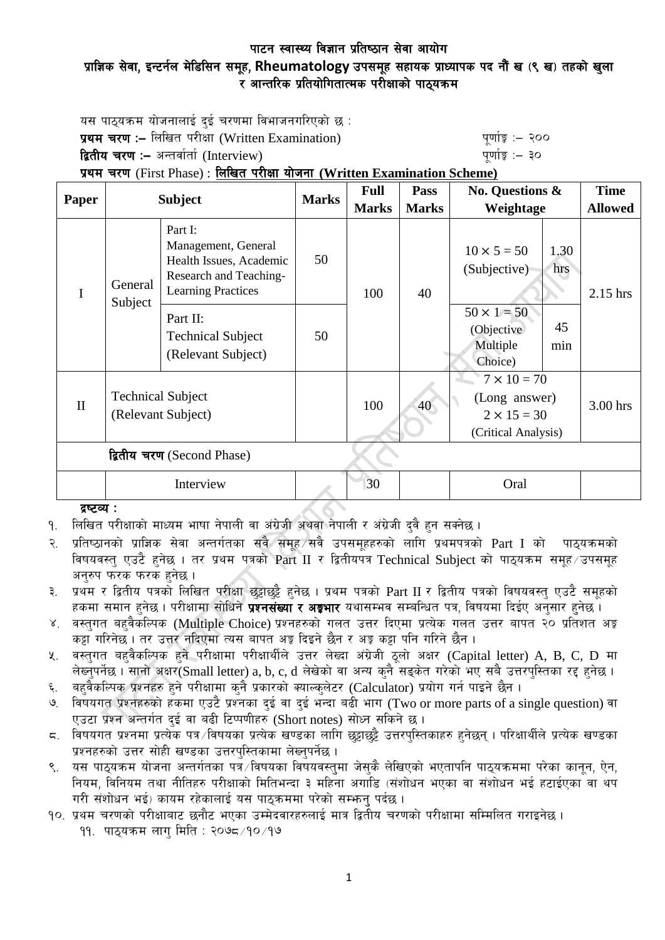## पाटन स्वास्थ्य विज्ञान प्रतिष्ठान सेवा आयोग प्राज्ञिक सेवा, इन्टर्नल मेडिसिन समूह, Rheumatology उपसमूह सहायक प्राध्यापक पद नौं ख (९ ख) तहको खुला  $\overline{\mathbf{x}}$  आन्तरिक प्रतियोगितात्मक परीक्षाको पाठयक्रम

यस पाठयक्रम योजनालाई दई चरणमा विभाजनगरिएको छ : **प्रथम चरण :–** लिखित परीक्षा (Written Examination) k" b" while a "quing" :– २००

द्वितीय चरण :– अन्तर्वार्ता (Interview) katalactic metal metal which we have the set of  $\mathbf{q}$ 

प्रथम चरण (First Phase) : लिखित परीक्षा योजना (Written Examination Scheme)

| Paper                      | <b>Subject</b>                                 |                                                                                                                  | <b>Marks</b> | <b>Full</b>  | <b>Pass</b>     | <b>No. Questions &amp;</b>                                                       |             | <b>Time</b>    |  |
|----------------------------|------------------------------------------------|------------------------------------------------------------------------------------------------------------------|--------------|--------------|-----------------|----------------------------------------------------------------------------------|-------------|----------------|--|
|                            |                                                |                                                                                                                  |              | <b>Marks</b> | <b>Marks</b>    | Weightage                                                                        |             | <b>Allowed</b> |  |
| $\mathbf I$                | General<br>Subject                             | Part I:<br>Management, General<br>Health Issues, Academic<br>Research and Teaching-<br><b>Learning Practices</b> | 50           | 100          | 40              | $10 \times 5 = 50$<br>(Subjective)                                               | 1.30<br>hrs | $2.15$ hrs     |  |
|                            |                                                | Part II:<br><b>Technical Subject</b><br>(Relevant Subject)                                                       | 50           |              |                 | $50 \times 1 = 50$<br>(Objective)<br>Multiple<br>Choice)                         | 45<br>min   |                |  |
| $\mathbf{I}$               | <b>Technical Subject</b><br>(Relevant Subject) |                                                                                                                  |              | 100          | 40 <sup>°</sup> | $7 \times 10 = 70$<br>(Long answer)<br>$2 \times 15 = 30$<br>(Critical Analysis) |             | 3.00 hrs       |  |
| द्वितीय चरण (Second Phase) |                                                |                                                                                                                  |              |              |                 |                                                                                  |             |                |  |
|                            | Interview                                      |                                                                                                                  |              | 30           |                 | Oral                                                                             |             |                |  |

## दृष्टव्य $:$

<u>.</u> लिखित परीक्षाको माध्यम भाषा नेपाली वा अंग्रेजी अथवा नेपाली र अंग्रेजी दवै हन सक्नेछ ।

२. प्रतिष्ठानको प्राज्ञिक सेवा अन्तर्गतका सवै समह सवै उपसमहहरुको लागि प्रथमपत्रको  $Part\ I$  को पाठ्यक्रमको विषयवस्तु एउटै हुनेछ । तर प्रथम पत्रको Part II र द्वितीयपत्र Technical Subject को पाठयक्रम समह उपसमह अनुरुप फरक फरक हुनेछ ।

३. प्रथम र द्वितीय पत्रको लिखित परीक्षा छट्टाछट्टै हनेछ । प्रथम पत्रको Part II र द्वितीय पत्रको विषयवस्त् एउटै समूहको हकमा समान हुनेछ । परीक्षामा सोधिने **प्रश्नसंख्या र अङ्गभार** यथासम्भव सम्बन्धित पत्र, विषयमा दिईए अनुसार हुनेछ ।

- ४. वस्तुगत बहुवैकस्पिक (Multiple Choice) प्रश्नहरुको गलत उत्तर दिएमा प्रत्येक गलत उत्तर बापत २० प्रतिशत अङ्क कट्टा गरिनेछ । तर उत्तर नदिएमा त्यस बापत अङ्ग दिइने छैन र अङ्ग कट्टा पनि गरिने छैन ।
- $\,$ k. वस्तुगत बहुवैकल्पिक हुने परीक्षामा परीक्षार्थीले उत्तर लेख्दा अंग्रेजी ठुलो अक्षर (Capital letter) A, B, C, D मा लेख्नुपर्नेछ । सानो अक्षर(Small letter) a, b, c, d लेखेको वा अन्य कुनै सङ्केत गरेको भए सबै उत्तरपुस्तिका रद्द हुनेछ ।
- ६. बहुवैकल्पिक प्रश्नहरु हुने परीक्षामा कुनै प्रकारको क्याल्कुलेटर (Calculator) प्रयोग गर्न पाइने छैन ।
- ७. विषयगत प्रश्नहरुको हकमा एउटै प्रश्नका दुई वा दुई भन्दा बढी भाग (Two or more parts of a single question) वा एउटा प्रश्न अन्तर्गत दई वा बढी टिप्पणीहरु (Short notes) सोध्न सकिने छ।
- $\,$ द. विषयगत प्रश्नमा प्रत्येक पत्र विषयका प्रत्येक खण्डका लागि छुट्टाछुट्टै उत्तरपुस्तिकाहरु हुनेछन् । परिक्षार्थीले प्रत्येक खण्डका प्रश्नहरुको उत्तर सोही खण्डका उत्तरपस्तिकामा लेख्नुपर्नेछ ।
- ९. यस पाठयक्रम योजना अन्तर्गतका पत्रे विषयका विषयवस्तमा जेसकै लेखिएको भएतापनि पाठयक्रममा परेका कानन, ऐन, नियम, विनियम तथा नीतिहरु परीक्षाको मितिभन्दा ३ महिना अगाडि (संशोधन भएका वा संशोधन भई हटाईएका वा थप गरी संशोधन भई) कायम रहेकालाई यस पाठुकममा परेको सम्भन् पर्दछ ।
- <u>१</u>०. प्रथम चरणको परीक्षाबाट छनौट भएका उम्मेदवारहरुलाई मात्र द्वितीय चरणको परीक्षामा सम्मिलित गराइनेछ ।
	- ११. पाठुयक्रम लाग मिति : २०७८ ⁄१० ⁄१७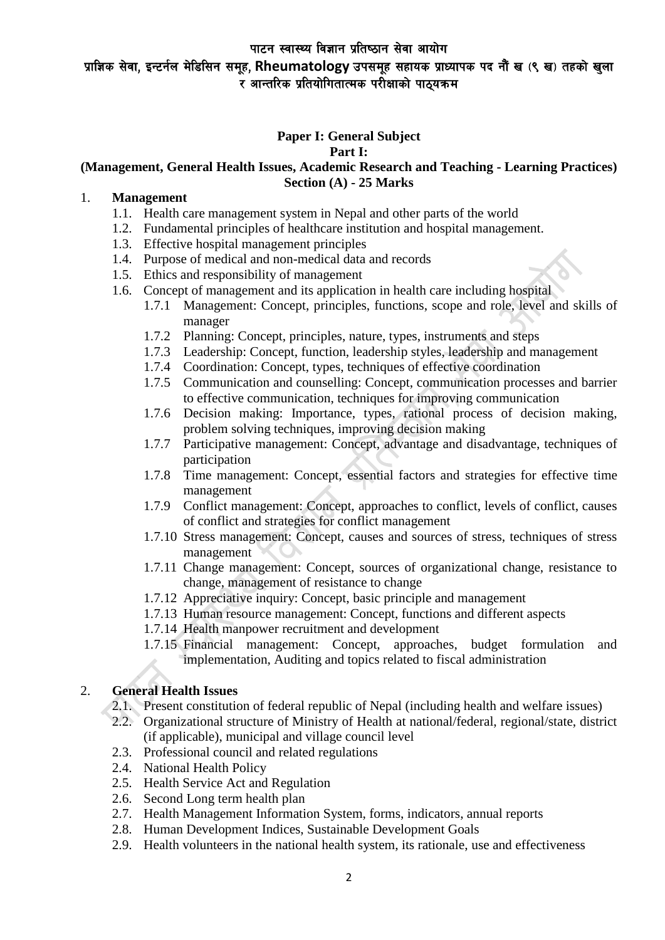# प्राज्ञिक सेवा, इन्टर्नल मेडिसिन समूह, Rheumatology उपसमूह सहायक प्राध्यापक पद नौं ख (९ ख) तहको खुला ्<br>र आन्तरिक प्रतियोगितात्मक परोक्षाको पाठयक्रम

#### **Paper I: General Subject Part I:**

### **(Management, General Health Issues, Academic Research and Teaching - Learning Practices) Section (A) - 25 Marks**

#### 1. **Management**

- 1.1. Health care management system in Nepal and other parts of the world
- 1.2. Fundamental principles of healthcare institution and hospital management.
- 1.3. Effective hospital management principles
- 1.4. Purpose of medical and non-medical data and records
- 1.5. Ethics and responsibility of management
- 1.6. Concept of management and its application in health care including hospital
	- 1.7.1 Management: Concept, principles, functions, scope and role, level and skills of manager
	- 1.7.2 Planning: Concept, principles, nature, types, instruments and steps
	- 1.7.3 Leadership: Concept, function, leadership styles, leadership and management
	- 1.7.4 Coordination: Concept, types, techniques of effective coordination
	- 1.7.5 Communication and counselling: Concept, communication processes and barrier to effective communication, techniques for improving communication
	- 1.7.6 Decision making: Importance, types, rational process of decision making, problem solving techniques, improving decision making
	- 1.7.7 Participative management: Concept, advantage and disadvantage, techniques of participation
	- 1.7.8 Time management: Concept, essential factors and strategies for effective time management
	- 1.7.9 Conflict management: Concept, approaches to conflict, levels of conflict, causes of conflict and strategies for conflict management
	- 1.7.10 Stress management: Concept, causes and sources of stress, techniques of stress management
	- 1.7.11 Change management: Concept, sources of organizational change, resistance to change, management of resistance to change
	- 1.7.12 Appreciative inquiry: Concept, basic principle and management
	- 1.7.13 Human resource management: Concept, functions and different aspects
	- 1.7.14 Health manpower recruitment and development
	- 1.7.15 Financial management: Concept, approaches, budget formulation and implementation, Auditing and topics related to fiscal administration

## 2. **General Health Issues**

- 2.1. Present constitution of federal republic of Nepal (including health and welfare issues)
- 2.2. Organizational structure of Ministry of Health at national/federal, regional/state, district (if applicable), municipal and village council level
- 2.3. Professional council and related regulations
- 2.4. National Health Policy
- 2.5. Health Service Act and Regulation
- 2.6. Second Long term health plan
- 2.7. Health Management Information System, forms, indicators, annual reports
- 2.8. Human Development Indices, Sustainable Development Goals
- 2.9. Health volunteers in the national health system, its rationale, use and effectiveness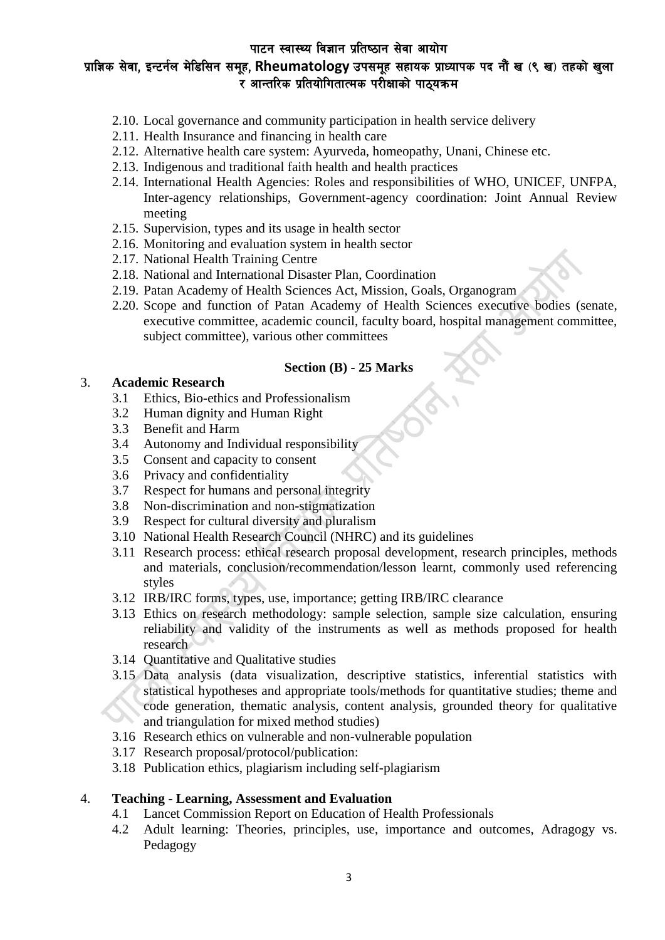# प्राज्ञिक सेवा, इन्टर्नल मेडिसिन समूह, Rheumatology उपसमूह सहायक प्राध्यापक पद नौं ख (९ ख) तहको खुला ्<br>र आन्तरिक प्रतियोगितात्मक परोक्षाको पाठयक्रम

- 2.10. Local governance and community participation in health service delivery
- 2.11. Health Insurance and financing in health care
- 2.12. Alternative health care system: Ayurveda, homeopathy, Unani, Chinese etc.
- 2.13. Indigenous and traditional faith health and health practices
- 2.14. International Health Agencies: Roles and responsibilities of WHO, UNICEF, UNFPA, Inter-agency relationships, Government-agency coordination: Joint Annual Review meeting
- 2.15. Supervision, types and its usage in health sector
- 2.16. Monitoring and evaluation system in health sector
- 2.17. National Health Training Centre
- 2.18. National and International Disaster Plan, Coordination
- 2.19. Patan Academy of Health Sciences Act, Mission, Goals, Organogram
- 2.20. Scope and function of Patan Academy of Health Sciences executive bodies (senate, executive committee, academic council, faculty board, hospital management committee, subject committee), various other committees

### **Section (B) - 25 Marks**

### 3. **Academic Research**

- 3.1 Ethics, Bio-ethics and Professionalism
- 3.2 Human dignity and Human Right
- 3.3 Benefit and Harm
- 3.4 Autonomy and Individual responsibility
- 3.5 Consent and capacity to consent
- 3.6 Privacy and confidentiality
- 3.7 Respect for humans and personal integrity
- 3.8 Non-discrimination and non-stigmatization
- 3.9 Respect for cultural diversity and pluralism
- 3.10 National Health Research Council (NHRC) and its guidelines
- 3.11 Research process: ethical research proposal development, research principles, methods and materials, conclusion/recommendation/lesson learnt, commonly used referencing styles
- 3.12 IRB/IRC forms, types, use, importance; getting IRB/IRC clearance
- 3.13 Ethics on research methodology: sample selection, sample size calculation, ensuring reliability and validity of the instruments as well as methods proposed for health research
- 3.14 Quantitative and Qualitative studies
- 3.15 Data analysis (data visualization, descriptive statistics, inferential statistics with statistical hypotheses and appropriate tools/methods for quantitative studies; theme and code generation, thematic analysis, content analysis, grounded theory for qualitative and triangulation for mixed method studies)
- 3.16 Research ethics on vulnerable and non-vulnerable population
- 3.17 Research proposal/protocol/publication:
- 3.18 Publication ethics, plagiarism including self-plagiarism

#### 4. **Teaching - Learning, Assessment and Evaluation**

- 4.1 Lancet Commission Report on Education of Health Professionals
- 4.2 Adult learning: Theories, principles, use, importance and outcomes, Adragogy vs. Pedagogy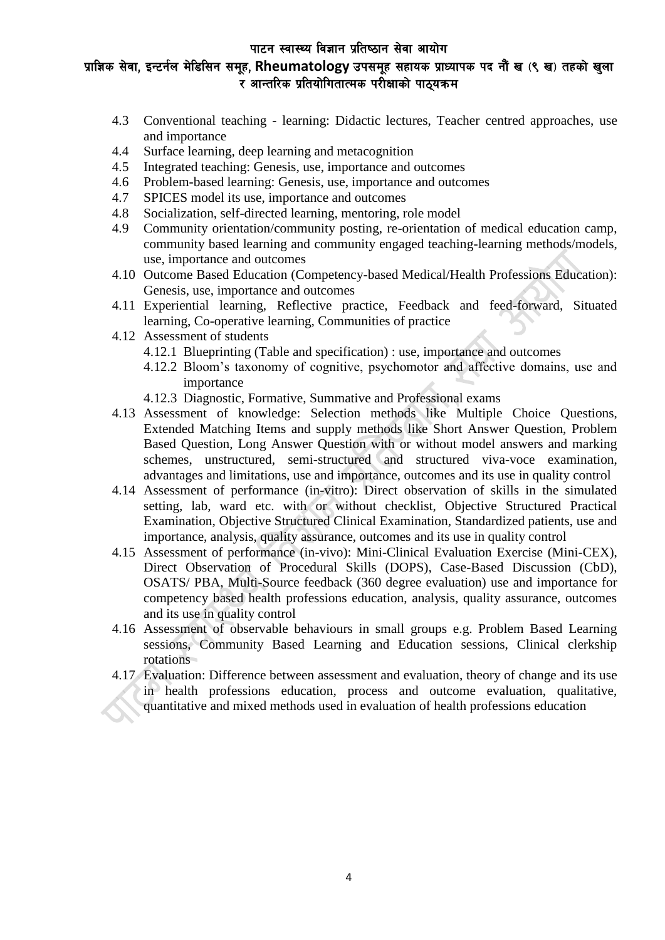# प्राज्ञिक सेवा, इन्टर्नल मेडिसिन समूह, Rheumatology उपसमूह सहायक प्राध्यापक पद नौं ख (९ ख) तहको खुला ्<br>र आन्तरिक प्रतियोगितात्मक परोक्षाको पाठयक्रम

- 4.3 Conventional teaching learning: Didactic lectures, Teacher centred approaches, use and importance
- 4.4 Surface learning, deep learning and metacognition
- 4.5 Integrated teaching: Genesis, use, importance and outcomes
- 4.6 Problem-based learning: Genesis, use, importance and outcomes
- 4.7 SPICES model its use, importance and outcomes
- 4.8 Socialization, self-directed learning, mentoring, role model
- 4.9 Community orientation/community posting, re-orientation of medical education camp, community based learning and community engaged teaching-learning methods/models, use, importance and outcomes
- 4.10 Outcome Based Education (Competency-based Medical/Health Professions Education): Genesis, use, importance and outcomes
- 4.11 Experiential learning, Reflective practice, Feedback and feed-forward, Situated learning, Co-operative learning, Communities of practice
- 4.12 Assessment of students
	- 4.12.1 Blueprinting (Table and specification) : use, importance and outcomes
	- 4.12.2 Bloom's taxonomy of cognitive, psychomotor and affective domains, use and importance
	- 4.12.3 Diagnostic, Formative, Summative and Professional exams
- 4.13 Assessment of knowledge: Selection methods like Multiple Choice Questions, Extended Matching Items and supply methods like Short Answer Question, Problem Based Question, Long Answer Question with or without model answers and marking schemes, unstructured, semi-structured and structured viva-voce examination, advantages and limitations, use and importance, outcomes and its use in quality control
- 4.14 Assessment of performance (in-vitro): Direct observation of skills in the simulated setting, lab, ward etc. with or without checklist, Objective Structured Practical Examination, Objective Structured Clinical Examination, Standardized patients, use and importance, analysis, quality assurance, outcomes and its use in quality control
- 4.15 Assessment of performance (in-vivo): Mini-Clinical Evaluation Exercise (Mini-CEX), Direct Observation of Procedural Skills (DOPS), Case-Based Discussion (CbD), OSATS/ PBA, Multi-Source feedback (360 degree evaluation) use and importance for competency based health professions education, analysis, quality assurance, outcomes and its use in quality control
- 4.16 Assessment of observable behaviours in small groups e.g. Problem Based Learning sessions, Community Based Learning and Education sessions, Clinical clerkship rotations
- 4.17 Evaluation: Difference between assessment and evaluation, theory of change and its use in health professions education, process and outcome evaluation, qualitative, quantitative and mixed methods used in evaluation of health professions education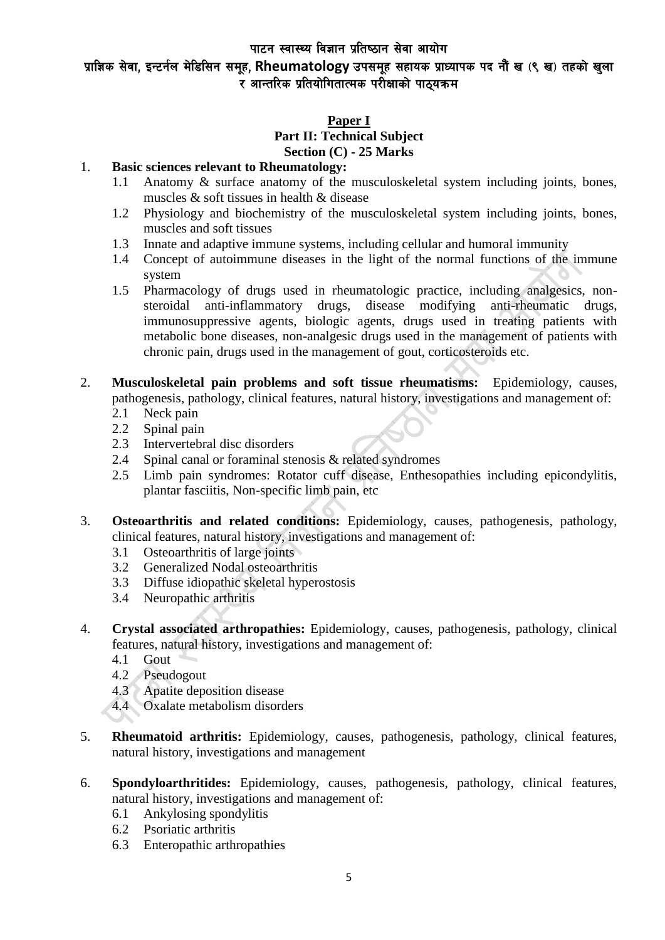# प्राज्ञिक सेवा, इन्टर्नल मेडिसिन समूह, Rheumatology उपसमूह सहायक प्राध्यापक पद नौं ख (९ ख) तहको खुला ्<br>र आन्तरिक प्रतियोगितात्मक परोक्षाको पाठयक्रम

#### **Paper I Part II: Technical Subject**

## **Section (C) - 25 Marks**

#### 1. **Basic sciences relevant to Rheumatology:**

- 1.1 Anatomy & surface anatomy of the musculoskeletal system including joints, bones, muscles & soft tissues in health & disease
- 1.2 Physiology and biochemistry of the musculoskeletal system including joints, bones, muscles and soft tissues
- 1.3 Innate and adaptive immune systems, including cellular and humoral immunity
- 1.4 Concept of autoimmune diseases in the light of the normal functions of the immune system
- 1.5 Pharmacology of drugs used in rheumatologic practice, including analgesics, nonsteroidal anti-inflammatory drugs, disease modifying anti-rheumatic drugs, immunosuppressive agents, biologic agents, drugs used in treating patients with metabolic bone diseases, non-analgesic drugs used in the management of patients with chronic pain, drugs used in the management of gout, corticosteroids etc.
- 2. **Musculoskeletal pain problems and soft tissue rheumatisms:** Epidemiology, causes, pathogenesis, pathology, clinical features, natural history, investigations and management of:
	- 2.1 Neck pain
	- 2.2 Spinal pain
	- 2.3 Intervertebral disc disorders
	- 2.4 Spinal canal or foraminal stenosis & related syndromes
	- 2.5 Limb pain syndromes: Rotator cuff disease, Enthesopathies including epicondylitis, plantar fasciitis, Non-specific limb pain, etc
- 3. **Osteoarthritis and related conditions:** Epidemiology, causes, pathogenesis, pathology, clinical features, natural history, investigations and management of:
	- 3.1 Osteoarthritis of large joints
	- 3.2 Generalized Nodal osteoarthritis
	- 3.3 Diffuse idiopathic skeletal hyperostosis
	- 3.4 Neuropathic arthritis
- 4. **Crystal associated arthropathies:** Epidemiology, causes, pathogenesis, pathology, clinical features, natural history, investigations and management of:
	- 4.1 Gout
	- 4.2 Pseudogout
	- 4.3 Apatite deposition disease
	- 4.4 Oxalate metabolism disorders
- 5. **Rheumatoid arthritis:** Epidemiology, causes, pathogenesis, pathology, clinical features, natural history, investigations and management
- 6. **Spondyloarthritides:** Epidemiology, causes, pathogenesis, pathology, clinical features, natural history, investigations and management of:
	- 6.1 Ankylosing spondylitis
	- 6.2 Psoriatic arthritis
	- 6.3 Enteropathic arthropathies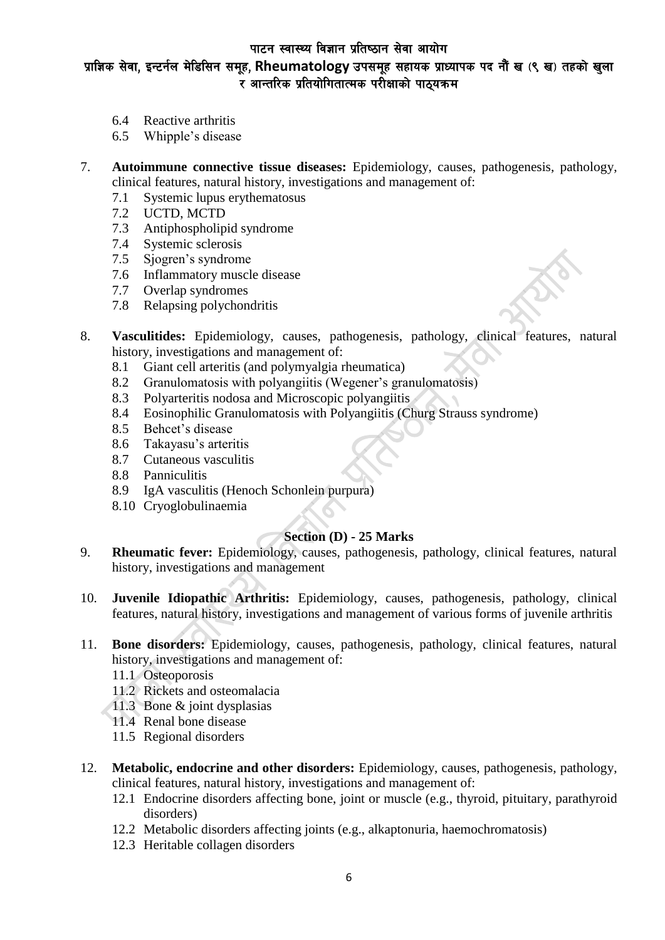# प्राज्ञिक सेवा, इन्टर्नल मेडिसिन समूह, Rheumatology उपसमूह सहायक प्राध्यापक पद नौं ख (९ ख) तहको खुला ्<br>र आन्तरिक प्रतियोगितात्मक परोक्षाको पाठयक्रम

- 6.4 Reactive arthritis
- 6.5 Whipple's disease
- 7. **Autoimmune connective tissue diseases:** Epidemiology, causes, pathogenesis, pathology, clinical features, natural history, investigations and management of:
	- 7.1 Systemic lupus erythematosus
	- 7.2 UCTD, MCTD
	- 7.3 Antiphospholipid syndrome
	- 7.4 Systemic sclerosis
	- 7.5 Sjogren's syndrome
	- 7.6 Inflammatory muscle disease
	- 7.7 Overlap syndromes
	- 7.8 Relapsing polychondritis
- 8. **Vasculitides:** Epidemiology, causes, pathogenesis, pathology, clinical features, natural history, investigations and management of:
	- 8.1 Giant cell arteritis (and polymyalgia rheumatica)
	- 8.2 Granulomatosis with polyangiitis (Wegener's granulomatosis)
	- 8.3 Polyarteritis nodosa and Microscopic polyangiitis
	- 8.4 Eosinophilic Granulomatosis with Polyangiitis (Churg Strauss syndrome)
	- 8.5 Behcet's disease
	- 8.6 Takayasu's arteritis
	- 8.7 Cutaneous vasculitis
	- 8.8 Panniculitis
	- 8.9 IgA vasculitis (Henoch Schonlein purpura)
	- 8.10 Cryoglobulinaemia

## **Section (D) - 25 Marks**

- 9. **Rheumatic fever:** Epidemiology, causes, pathogenesis, pathology, clinical features, natural history, investigations and management
- 10. **Juvenile Idiopathic Arthritis:** Epidemiology, causes, pathogenesis, pathology, clinical features, natural history, investigations and management of various forms of juvenile arthritis
- 11. **Bone disorders:** Epidemiology, causes, pathogenesis, pathology, clinical features, natural history, investigations and management of:
	- 11.1 Osteoporosis
	- 11.2 Rickets and osteomalacia
	- 11.3 Bone & joint dysplasias
	- 11.4 Renal bone disease
	- 11.5 Regional disorders
- 12. **Metabolic, endocrine and other disorders:** Epidemiology, causes, pathogenesis, pathology, clinical features, natural history, investigations and management of:
	- 12.1 Endocrine disorders affecting bone, joint or muscle (e.g., thyroid, pituitary, parathyroid disorders)
	- 12.2 Metabolic disorders affecting joints (e.g., alkaptonuria, haemochromatosis)
	- 12.3 Heritable collagen disorders